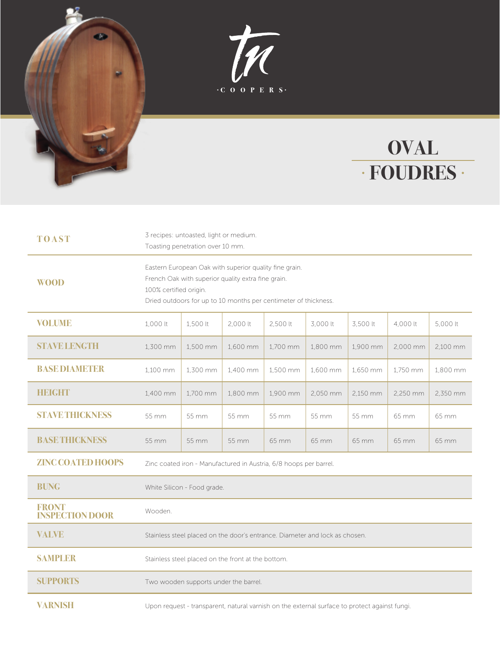



## **OVAL FOUDRES**

| <b>TOAST</b>                           | 3 recipes: untoasted, light or medium.<br>Toasting penetration over 10 mm.                                                                                                                                |          |          |          |          |          |          |          |
|----------------------------------------|-----------------------------------------------------------------------------------------------------------------------------------------------------------------------------------------------------------|----------|----------|----------|----------|----------|----------|----------|
| <b>WOOD</b>                            | Eastern European Oak with superior quality fine grain.<br>French Oak with superior quality extra fine grain.<br>100% certified origin.<br>Dried outdoors for up to 10 months per centimeter of thickness. |          |          |          |          |          |          |          |
| <b>VOLUME</b>                          | 1,000 lt                                                                                                                                                                                                  | 1,500 lt | 2,000 lt | 2,500 lt | 3,000 lt | 3,500 lt | 4,000 lt | 5,000 lt |
| <b>STAVE LENGTH</b>                    | 1,300 mm                                                                                                                                                                                                  | 1,500 mm | 1,600 mm | 1,700 mm | 1,800 mm | 1,900 mm | 2,000 mm | 2,100 mm |
| <b>BASE DIAMETER</b>                   | 1,100 mm                                                                                                                                                                                                  | 1,300 mm | 1,400 mm | 1,500 mm | 1.600 mm | 1,650 mm | 1.750 mm | 1.800 mm |
| <b>HEIGHT</b>                          | 1,400 mm                                                                                                                                                                                                  | 1,700 mm | 1,800 mm | 1,900 mm | 2,050 mm | 2,150 mm | 2,250 mm | 2,350 mm |
| <b>STAVETHICKNESS</b>                  | 55 mm                                                                                                                                                                                                     | 55 mm    | 55 mm    | 55 mm    | 55 mm    | 55 mm    | 65 mm    | 65 mm    |
| <b>BASE THICKNESS</b>                  | 55 mm                                                                                                                                                                                                     | 55 mm    | 55 mm    | 65 mm    | 65 mm    | 65 mm    | 65 mm    | 65 mm    |
| <b>ZINC COATED HOOPS</b>               | Zinc coated iron - Manufactured in Austria, 6/8 hoops per barrel.                                                                                                                                         |          |          |          |          |          |          |          |
| <b>BUNG</b>                            | White Silicon - Food grade.                                                                                                                                                                               |          |          |          |          |          |          |          |
| <b>FRONT</b><br><b>INSPECTION DOOR</b> | Wooden.                                                                                                                                                                                                   |          |          |          |          |          |          |          |
| <b>VALVE</b>                           | Stainless steel placed on the door's entrance. Diameter and lock as chosen.                                                                                                                               |          |          |          |          |          |          |          |
| <b>SAMPLER</b>                         | Stainless steel placed on the front at the bottom.                                                                                                                                                        |          |          |          |          |          |          |          |
| <b>SUPPORTS</b>                        | Two wooden supports under the barrel.                                                                                                                                                                     |          |          |          |          |          |          |          |
| <b>VARNISH</b>                         | Upon request - transparent, natural varnish on the external surface to protect against fungi.                                                                                                             |          |          |          |          |          |          |          |